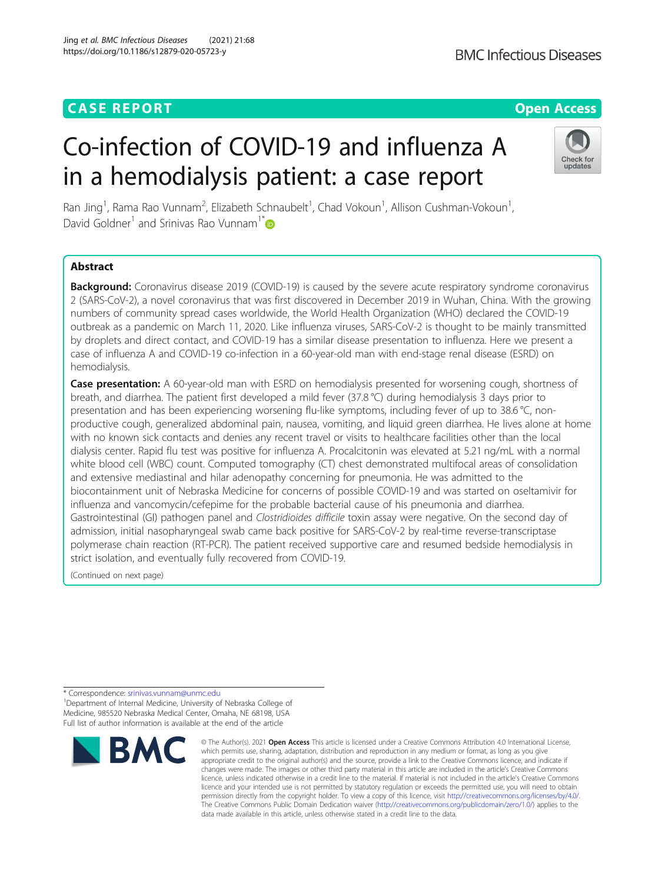# Co-infection of COVID-19 and influenza A in a hemodialysis patient: a case report



Ran Jing<sup>1</sup>, Rama Rao Vunnam<sup>2</sup>, Elizabeth Schnaubelt<sup>1</sup>, Chad Vokoun<sup>1</sup>, Allison Cushman-Vokoun<sup>1</sup> , David Goldner<sup>1</sup> and Srinivas Rao Vunnam<sup>1[\\*](http://orcid.org/0000-0002-3264-0825)</sup>

# Abstract

Background: Coronavirus disease 2019 (COVID-19) is caused by the severe acute respiratory syndrome coronavirus 2 (SARS-CoV-2), a novel coronavirus that was first discovered in December 2019 in Wuhan, China. With the growing numbers of community spread cases worldwide, the World Health Organization (WHO) declared the COVID-19 outbreak as a pandemic on March 11, 2020. Like influenza viruses, SARS-CoV-2 is thought to be mainly transmitted by droplets and direct contact, and COVID-19 has a similar disease presentation to influenza. Here we present a case of influenza A and COVID-19 co-infection in a 60-year-old man with end-stage renal disease (ESRD) on hemodialysis.

Case presentation: A 60-year-old man with ESRD on hemodialysis presented for worsening cough, shortness of breath, and diarrhea. The patient first developed a mild fever (37.8 °C) during hemodialysis 3 days prior to presentation and has been experiencing worsening flu-like symptoms, including fever of up to 38.6 °C, nonproductive cough, generalized abdominal pain, nausea, vomiting, and liquid green diarrhea. He lives alone at home with no known sick contacts and denies any recent travel or visits to healthcare facilities other than the local dialysis center. Rapid flu test was positive for influenza A. Procalcitonin was elevated at 5.21 ng/mL with a normal white blood cell (WBC) count. Computed tomography (CT) chest demonstrated multifocal areas of consolidation and extensive mediastinal and hilar adenopathy concerning for pneumonia. He was admitted to the biocontainment unit of Nebraska Medicine for concerns of possible COVID-19 and was started on oseltamivir for influenza and vancomycin/cefepime for the probable bacterial cause of his pneumonia and diarrhea. Gastrointestinal (GI) pathogen panel and Clostridioides difficile toxin assay were negative. On the second day of admission, initial nasopharyngeal swab came back positive for SARS-CoV-2 by real-time reverse-transcriptase polymerase chain reaction (RT-PCR). The patient received supportive care and resumed bedside hemodialysis in strict isolation, and eventually fully recovered from COVID-19.

(Continued on next page)

<sup>1</sup> Department of Internal Medicine, University of Nebraska College of Medicine, 985520 Nebraska Medical Center, Omaha, NE 68198, USA Full list of author information is available at the end of the article



<sup>©</sup> The Author(s), 2021 **Open Access** This article is licensed under a Creative Commons Attribution 4.0 International License, which permits use, sharing, adaptation, distribution and reproduction in any medium or format, as long as you give appropriate credit to the original author(s) and the source, provide a link to the Creative Commons licence, and indicate if changes were made. The images or other third party material in this article are included in the article's Creative Commons licence, unless indicated otherwise in a credit line to the material. If material is not included in the article's Creative Commons licence and your intended use is not permitted by statutory regulation or exceeds the permitted use, you will need to obtain permission directly from the copyright holder. To view a copy of this licence, visit [http://creativecommons.org/licenses/by/4.0/.](http://creativecommons.org/licenses/by/4.0/) The Creative Commons Public Domain Dedication waiver [\(http://creativecommons.org/publicdomain/zero/1.0/](http://creativecommons.org/publicdomain/zero/1.0/)) applies to the data made available in this article, unless otherwise stated in a credit line to the data.

<sup>\*</sup> Correspondence: [srinivas.vunnam@unmc.edu](mailto:srinivas.vunnam@unmc.edu) <sup>1</sup>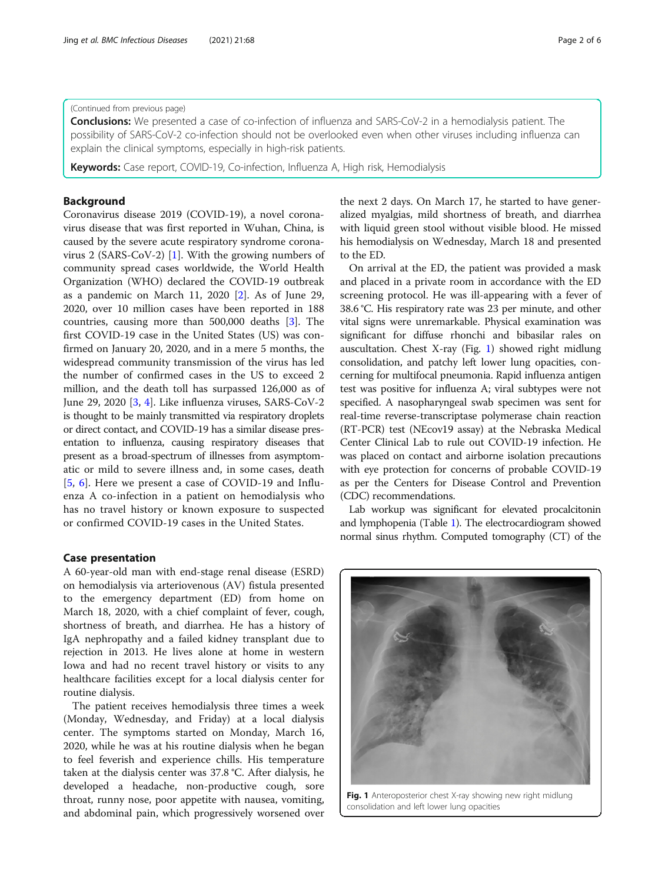#### (Continued from previous page)

**Conclusions:** We presented a case of co-infection of influenza and SARS-CoV-2 in a hemodialysis patient. The possibility of SARS-CoV-2 co-infection should not be overlooked even when other viruses including influenza can explain the clinical symptoms, especially in high-risk patients.

**Keywords:** Case report, COVID-19, Co-infection, Influenza A, High risk, Hemodialysis

# **Background**

Coronavirus disease 2019 (COVID-19), a novel coronavirus disease that was first reported in Wuhan, China, is caused by the severe acute respiratory syndrome coronavirus 2 (SARS-CoV-2) [[1\]](#page-5-0). With the growing numbers of community spread cases worldwide, the World Health Organization (WHO) declared the COVID-19 outbreak as a pandemic on March 11, 2020 [\[2](#page-5-0)]. As of June 29, 2020, over 10 million cases have been reported in 188 countries, causing more than 500,000 deaths [[3\]](#page-5-0). The first COVID-19 case in the United States (US) was confirmed on January 20, 2020, and in a mere 5 months, the widespread community transmission of the virus has led the number of confirmed cases in the US to exceed 2 million, and the death toll has surpassed 126,000 as of June 29, 2020 [\[3](#page-5-0), [4](#page-5-0)]. Like influenza viruses, SARS-CoV-2 is thought to be mainly transmitted via respiratory droplets or direct contact, and COVID-19 has a similar disease presentation to influenza, causing respiratory diseases that present as a broad-spectrum of illnesses from asymptomatic or mild to severe illness and, in some cases, death [[5,](#page-5-0) [6\]](#page-5-0). Here we present a case of COVID-19 and Influenza A co-infection in a patient on hemodialysis who has no travel history or known exposure to suspected or confirmed COVID-19 cases in the United States.

#### Case presentation

A 60-year-old man with end-stage renal disease (ESRD) on hemodialysis via arteriovenous (AV) fistula presented to the emergency department (ED) from home on March 18, 2020, with a chief complaint of fever, cough, shortness of breath, and diarrhea. He has a history of IgA nephropathy and a failed kidney transplant due to rejection in 2013. He lives alone at home in western Iowa and had no recent travel history or visits to any healthcare facilities except for a local dialysis center for routine dialysis.

The patient receives hemodialysis three times a week (Monday, Wednesday, and Friday) at a local dialysis center. The symptoms started on Monday, March 16, 2020, while he was at his routine dialysis when he began to feel feverish and experience chills. His temperature taken at the dialysis center was 37.8 °C. After dialysis, he developed a headache, non-productive cough, sore throat, runny nose, poor appetite with nausea, vomiting, and abdominal pain, which progressively worsened over the next 2 days. On March 17, he started to have generalized myalgias, mild shortness of breath, and diarrhea with liquid green stool without visible blood. He missed his hemodialysis on Wednesday, March 18 and presented to the ED.

On arrival at the ED, the patient was provided a mask and placed in a private room in accordance with the ED screening protocol. He was ill-appearing with a fever of 38.6 °C. His respiratory rate was 23 per minute, and other vital signs were unremarkable. Physical examination was significant for diffuse rhonchi and bibasilar rales on auscultation. Chest X-ray (Fig. 1) showed right midlung consolidation, and patchy left lower lung opacities, concerning for multifocal pneumonia. Rapid influenza antigen test was positive for influenza A; viral subtypes were not specified. A nasopharyngeal swab specimen was sent for real-time reverse-transcriptase polymerase chain reaction (RT-PCR) test (NEcov19 assay) at the Nebraska Medical Center Clinical Lab to rule out COVID-19 infection. He was placed on contact and airborne isolation precautions with eye protection for concerns of probable COVID-19 as per the Centers for Disease Control and Prevention (CDC) recommendations.

Lab workup was significant for elevated procalcitonin and lymphopenia (Table [1\)](#page-2-0). The electrocardiogram showed normal sinus rhythm. Computed tomography (CT) of the



Fig. 1 Anteroposterior chest X-ray showing new right midlung consolidation and left lower lung opacities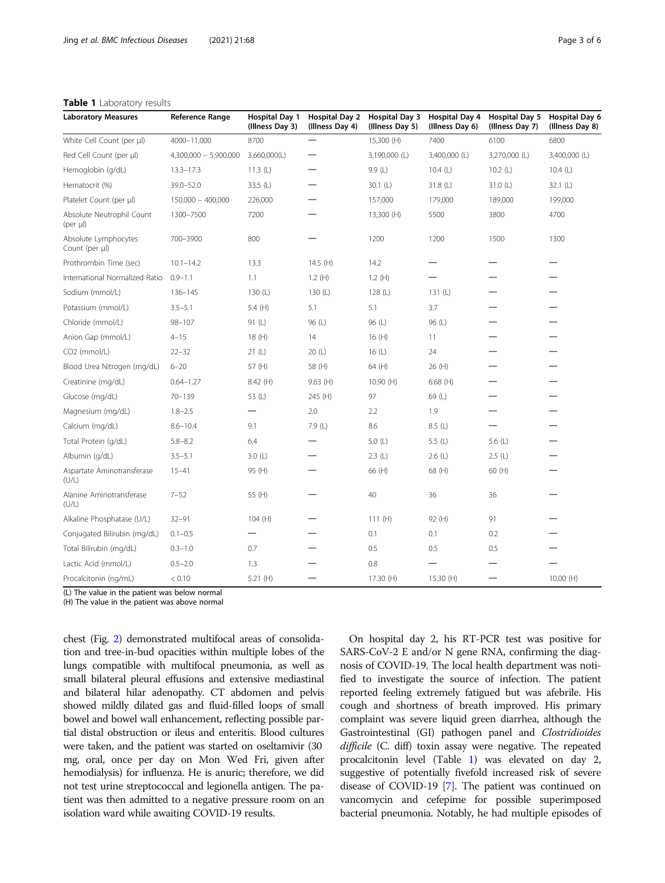## <span id="page-2-0"></span>Table 1 Laboratory results

| <b>Laboratory Measures</b>             | Reference Range         | <b>Hospital Day 1</b><br>(Illness Day 3) | <b>Hospital Day 2</b><br>(Illness Day 4) | <b>Hospital Day 3</b><br>(Illness Day 5) | <b>Hospital Day 4</b><br>(Illness Day 6) | <b>Hospital Day 5</b><br>(Illness Day 7) | <b>Hospital Day 6</b><br>(Illness Day 8) |
|----------------------------------------|-------------------------|------------------------------------------|------------------------------------------|------------------------------------------|------------------------------------------|------------------------------------------|------------------------------------------|
| White Cell Count (per µl)              | 4000-11,000             | 8700                                     |                                          | 15,300 (H)                               | 7400                                     | 6100                                     | 6800                                     |
| Red Cell Count (per µl)                | $4,300,000 - 5,900,000$ | 3,660,000(L)                             |                                          | 3,190,000 (L)                            | 3,400,000 (L)                            | 3,270,000 (L)                            | 3,400,000 (L)                            |
| Hemoglobin (g/dL)                      | $13.3 - 17.3$           | 11.3(L)                                  |                                          | 9.9(L)                                   | 10.4(L)                                  | 10.2(L)                                  | 10.4(L)                                  |
| Hematocrit (%)                         | 39.0-52.0               | 33.5 (L)                                 |                                          | 30.1(L)                                  | 31.8(L)                                  | 31.0 $(L)$                               | 32.1 $(L)$                               |
| Platelet Count (per µl)                | $150,000 - 400,000$     | 226,000                                  |                                          | 157,000                                  | 179,000                                  | 189,000                                  | 199,000                                  |
| Absolute Neutrophil Count<br>(per µl)  | 1300-7500               | 7200                                     |                                          | 13,300 (H)                               | 5500                                     | 3800                                     | 4700                                     |
| Absolute Lymphocytes<br>Count (per µl) | 700-3900                | 800                                      |                                          | 1200                                     | 1200                                     | 1500                                     | 1300                                     |
| Prothrombin Time (sec)                 | $10.1 - 14.2$           | 13.3                                     | 14.5 (H)                                 | 14.2                                     |                                          |                                          |                                          |
| International Normalized Ratio         | $0.9 - 1.1$             | 1.1                                      | 1.2(H)                                   | 1.2(H)                                   |                                          |                                          |                                          |
| Sodium (mmol/L)                        | 136-145                 | 130 $(L)$                                | 130 (L)                                  | 128(L)                                   | 131 $(L)$                                |                                          |                                          |
| Potassium (mmol/L)                     | $3.5 - 5.1$             | 5.4 $(H)$                                | 5.1                                      | 5.1                                      | 3.7                                      |                                          |                                          |
| Chloride (mmol/L)                      | $98 - 107$              | 91 (L)                                   | 96 (L)                                   | 96 (L)                                   | 96 (L)                                   |                                          |                                          |
| Anion Gap (mmol/L)                     | $4 - 15$                | 18(H)                                    | 14                                       | 16(H)                                    | 11                                       |                                          |                                          |
| CO <sub>2</sub> (mmol/L)               | $22 - 32$               | 21(L)                                    | 20(L)                                    | 16(L)                                    | 24                                       |                                          |                                          |
| Blood Urea Nitrogen (mg/dL)            | $6 - 20$                | 57 (H)                                   | 58 (H)                                   | 64 (H)                                   | 26 (H)                                   |                                          |                                          |
| Creatinine (mg/dL)                     | $0.64 - 1.27$           | 8.42 (H)                                 | $9.63$ (H)                               | 10.90(H)                                 | $6.68$ (H)                               |                                          |                                          |
| Glucose (mg/dL)                        | $70 - 139$              | 53 (L)                                   | 245 (H)                                  | 97                                       | 69 (L)                                   |                                          |                                          |
| Magnesium (mg/dL)                      | $1.8 - 2.5$             | —                                        | 2.0                                      | 2.2                                      | 1.9                                      |                                          |                                          |
| Calcium (mg/dL)                        | $8.6 - 10.4$            | 9.1                                      | 7.9 (L)                                  | 8.6                                      | 8.5(L)                                   |                                          |                                          |
| Total Protein (g/dL)                   | $5.8 - 8.2$             | 6.4                                      |                                          | 5.0(L)                                   | 5.5 (L)                                  | 5.6 $(L)$                                |                                          |
| Albumin (g/dL)                         | $3.5 - 5.1$             | 3.0(L)                                   |                                          | 2.3(L)                                   | 2.6(L)                                   | 2.5(L)                                   |                                          |
| Aspartate Aminotransferase<br>(U/L)    | $15 - 41$               | 95 (H)                                   |                                          | 66 (H)                                   | 68 (H)                                   | 60 (H)                                   |                                          |
| Alanine Aminotransferase<br>(U/L)      | $7 - 52$                | 55 (H)                                   |                                          | 40                                       | 36                                       | 36                                       |                                          |
| Alkaline Phosphatase (U/L)             | $32 - 91$               | 104(H)                                   |                                          | 111 $(H)$                                | 92 (H)                                   | 91                                       |                                          |
| Conjugated Bilirubin (mg/dL)           | $0.1 - 0.5$             |                                          |                                          | 0.1                                      | 0.1                                      | 0.2                                      |                                          |
| Total Bilirubin (mg/dL)                | $0.3 - 1.0$             | 0.7                                      |                                          | 0.5                                      | 0.5                                      | 0.5                                      |                                          |
| Lactic Acid (mmol/L)                   | $0.5 - 2.0$             | 1.3                                      |                                          | 0.8                                      |                                          |                                          |                                          |
| Procalcitonin (ng/mL)                  | < 0.10                  | 5.21 $(H)$                               |                                          | 17.30 (H)                                | 15.30 (H)                                |                                          | 10.00(H)                                 |

(L) The value in the patient was below normal

(H) The value in the patient was above normal

chest (Fig. [2](#page-3-0)) demonstrated multifocal areas of consolidation and tree-in-bud opacities within multiple lobes of the lungs compatible with multifocal pneumonia, as well as small bilateral pleural effusions and extensive mediastinal and bilateral hilar adenopathy. CT abdomen and pelvis showed mildly dilated gas and fluid-filled loops of small bowel and bowel wall enhancement, reflecting possible partial distal obstruction or ileus and enteritis. Blood cultures were taken, and the patient was started on oseltamivir (30 mg, oral, once per day on Mon Wed Fri, given after hemodialysis) for influenza. He is anuric; therefore, we did not test urine streptococcal and legionella antigen. The patient was then admitted to a negative pressure room on an isolation ward while awaiting COVID-19 results.

On hospital day 2, his RT-PCR test was positive for SARS-CoV-2 E and/or N gene RNA, confirming the diagnosis of COVID-19. The local health department was notified to investigate the source of infection. The patient reported feeling extremely fatigued but was afebrile. His cough and shortness of breath improved. His primary complaint was severe liquid green diarrhea, although the Gastrointestinal (GI) pathogen panel and Clostridioides difficile (C. diff) toxin assay were negative. The repeated procalcitonin level (Table 1) was elevated on day 2, suggestive of potentially fivefold increased risk of severe disease of COVID-19 [[7](#page-5-0)]. The patient was continued on vancomycin and cefepime for possible superimposed bacterial pneumonia. Notably, he had multiple episodes of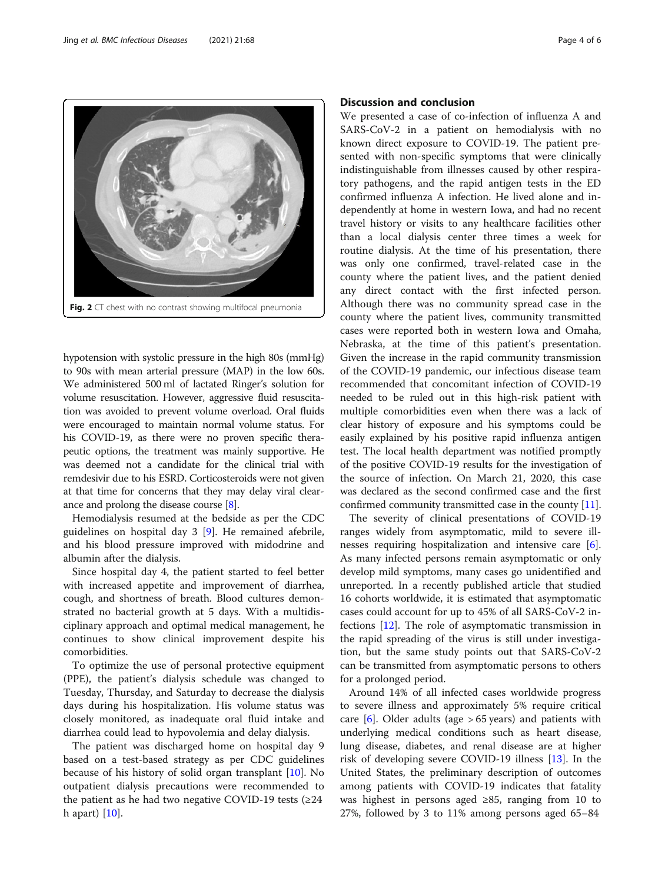hypotension with systolic pressure in the high 80s (mmHg) to 90s with mean arterial pressure (MAP) in the low 60s. We administered 500 ml of lactated Ringer's solution for volume resuscitation. However, aggressive fluid resuscitation was avoided to prevent volume overload. Oral fluids were encouraged to maintain normal volume status. For his COVID-19, as there were no proven specific therapeutic options, the treatment was mainly supportive. He was deemed not a candidate for the clinical trial with remdesivir due to his ESRD. Corticosteroids were not given at that time for concerns that they may delay viral clearance and prolong the disease course [[8](#page-5-0)].

Hemodialysis resumed at the bedside as per the CDC guidelines on hospital day 3 [[9\]](#page-5-0). He remained afebrile, and his blood pressure improved with midodrine and albumin after the dialysis.

Since hospital day 4, the patient started to feel better with increased appetite and improvement of diarrhea, cough, and shortness of breath. Blood cultures demonstrated no bacterial growth at 5 days. With a multidisciplinary approach and optimal medical management, he continues to show clinical improvement despite his comorbidities.

To optimize the use of personal protective equipment (PPE), the patient's dialysis schedule was changed to Tuesday, Thursday, and Saturday to decrease the dialysis days during his hospitalization. His volume status was closely monitored, as inadequate oral fluid intake and diarrhea could lead to hypovolemia and delay dialysis.

The patient was discharged home on hospital day 9 based on a test-based strategy as per CDC guidelines because of his history of solid organ transplant [\[10](#page-5-0)]. No outpatient dialysis precautions were recommended to the patient as he had two negative COVID-19 tests  $(≥24)$ h apart) [\[10\]](#page-5-0).

# Discussion and conclusion

We presented a case of co-infection of influenza A and SARS-CoV-2 in a patient on hemodialysis with no known direct exposure to COVID-19. The patient presented with non-specific symptoms that were clinically indistinguishable from illnesses caused by other respiratory pathogens, and the rapid antigen tests in the ED confirmed influenza A infection. He lived alone and independently at home in western Iowa, and had no recent travel history or visits to any healthcare facilities other than a local dialysis center three times a week for routine dialysis. At the time of his presentation, there was only one confirmed, travel-related case in the county where the patient lives, and the patient denied any direct contact with the first infected person. Although there was no community spread case in the county where the patient lives, community transmitted cases were reported both in western Iowa and Omaha, Nebraska, at the time of this patient's presentation. Given the increase in the rapid community transmission of the COVID-19 pandemic, our infectious disease team recommended that concomitant infection of COVID-19 needed to be ruled out in this high-risk patient with multiple comorbidities even when there was a lack of clear history of exposure and his symptoms could be easily explained by his positive rapid influenza antigen test. The local health department was notified promptly of the positive COVID-19 results for the investigation of the source of infection. On March 21, 2020, this case was declared as the second confirmed case and the first confirmed community transmitted case in the county [[11](#page-5-0)].

The severity of clinical presentations of COVID-19 ranges widely from asymptomatic, mild to severe illnesses requiring hospitalization and intensive care [\[6](#page-5-0)]. As many infected persons remain asymptomatic or only develop mild symptoms, many cases go unidentified and unreported. In a recently published article that studied 16 cohorts worldwide, it is estimated that asymptomatic cases could account for up to 45% of all SARS-CoV-2 infections [\[12](#page-5-0)]. The role of asymptomatic transmission in the rapid spreading of the virus is still under investigation, but the same study points out that SARS-CoV-2 can be transmitted from asymptomatic persons to others for a prolonged period.

Around 14% of all infected cases worldwide progress to severe illness and approximately 5% require critical care  $[6]$  $[6]$ . Older adults (age > 65 years) and patients with underlying medical conditions such as heart disease, lung disease, diabetes, and renal disease are at higher risk of developing severe COVID-19 illness [[13\]](#page-5-0). In the United States, the preliminary description of outcomes among patients with COVID-19 indicates that fatality was highest in persons aged ≥85, ranging from 10 to 27%, followed by 3 to 11% among persons aged 65–84

<span id="page-3-0"></span>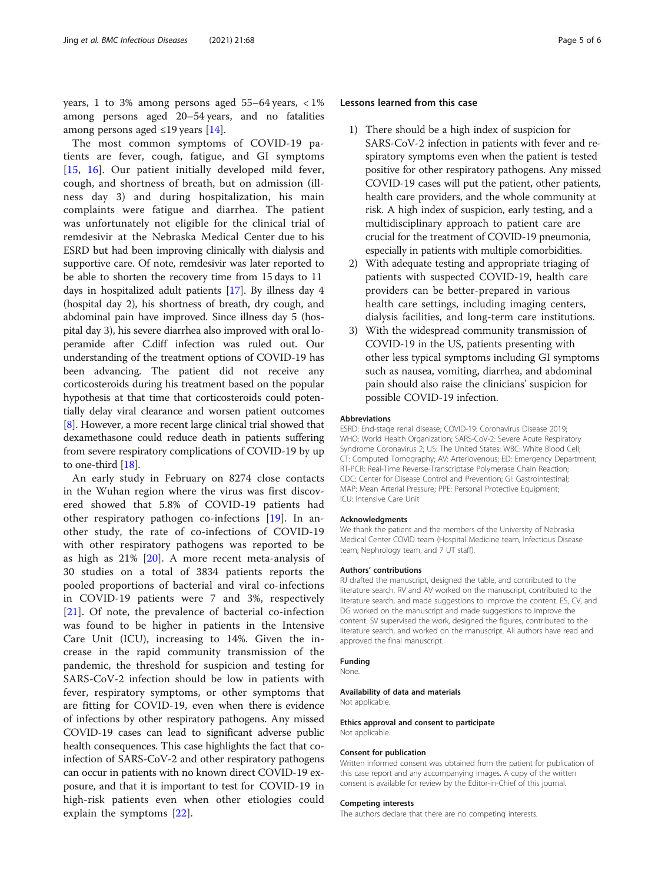years, 1 to 3% among persons aged  $55-64$  years,  $\langle 1\%$ among persons aged 20–54 years, and no fatalities among persons aged  $\leq$ 19 years [\[14](#page-5-0)].

The most common symptoms of COVID-19 patients are fever, cough, fatigue, and GI symptoms [[15](#page-5-0), [16](#page-5-0)]. Our patient initially developed mild fever, cough, and shortness of breath, but on admission (illness day 3) and during hospitalization, his main complaints were fatigue and diarrhea. The patient was unfortunately not eligible for the clinical trial of remdesivir at the Nebraska Medical Center due to his ESRD but had been improving clinically with dialysis and supportive care. Of note, remdesivir was later reported to be able to shorten the recovery time from 15 days to 11 days in hospitalized adult patients [[17](#page-5-0)]. By illness day 4 (hospital day 2), his shortness of breath, dry cough, and abdominal pain have improved. Since illness day 5 (hospital day 3), his severe diarrhea also improved with oral loperamide after C.diff infection was ruled out. Our understanding of the treatment options of COVID-19 has been advancing. The patient did not receive any corticosteroids during his treatment based on the popular hypothesis at that time that corticosteroids could potentially delay viral clearance and worsen patient outcomes [[8\]](#page-5-0). However, a more recent large clinical trial showed that dexamethasone could reduce death in patients suffering from severe respiratory complications of COVID-19 by up to one-third [[18](#page-5-0)].

An early study in February on 8274 close contacts in the Wuhan region where the virus was first discovered showed that 5.8% of COVID-19 patients had other respiratory pathogen co-infections [[19\]](#page-5-0). In another study, the rate of co-infections of COVID-19 with other respiratory pathogens was reported to be as high as 21% [\[20\]](#page-5-0). A more recent meta-analysis of 30 studies on a total of 3834 patients reports the pooled proportions of bacterial and viral co-infections in COVID-19 patients were 7 and 3%, respectively [[21\]](#page-5-0). Of note, the prevalence of bacterial co-infection was found to be higher in patients in the Intensive Care Unit (ICU), increasing to 14%. Given the increase in the rapid community transmission of the pandemic, the threshold for suspicion and testing for SARS-CoV-2 infection should be low in patients with fever, respiratory symptoms, or other symptoms that are fitting for COVID-19, even when there is evidence of infections by other respiratory pathogens. Any missed COVID-19 cases can lead to significant adverse public health consequences. This case highlights the fact that coinfection of SARS-CoV-2 and other respiratory pathogens can occur in patients with no known direct COVID-19 exposure, and that it is important to test for COVID-19 in high-risk patients even when other etiologies could explain the symptoms [\[22](#page-5-0)].

#### Lessons learned from this case

- 1) There should be a high index of suspicion for SARS-CoV-2 infection in patients with fever and respiratory symptoms even when the patient is tested positive for other respiratory pathogens. Any missed COVID-19 cases will put the patient, other patients, health care providers, and the whole community at risk. A high index of suspicion, early testing, and a multidisciplinary approach to patient care are crucial for the treatment of COVID-19 pneumonia, especially in patients with multiple comorbidities.
- 2) With adequate testing and appropriate triaging of patients with suspected COVID-19, health care providers can be better-prepared in various health care settings, including imaging centers, dialysis facilities, and long-term care institutions.
- 3) With the widespread community transmission of COVID-19 in the US, patients presenting with other less typical symptoms including GI symptoms such as nausea, vomiting, diarrhea, and abdominal pain should also raise the clinicians' suspicion for possible COVID-19 infection.

#### Abbreviations

ESRD: End-stage renal disease; COVID-19: Coronavirus Disease 2019; WHO: World Health Organization; SARS-CoV-2: Severe Acute Respiratory Syndrome Coronavirus 2; US: The United States; WBC: White Blood Cell; CT: Computed Tomography; AV: Arteriovenous; ED: Emergency Department; RT-PCR: Real-Time Reverse-Transcriptase Polymerase Chain Reaction; CDC: Center for Disease Control and Prevention; GI: Gastrointestinal; MAP: Mean Arterial Pressure; PPE: Personal Protective Equipment; ICU: Intensive Care Unit

#### Acknowledgments

We thank the patient and the members of the University of Nebraska Medical Center COVID team (Hospital Medicine team, Infectious Disease team, Nephrology team, and 7 UT staff).

#### Authors' contributions

RJ drafted the manuscript, designed the table, and contributed to the literature search. RV and AV worked on the manuscript, contributed to the literature search, and made suggestions to improve the content. ES, CV, and DG worked on the manuscript and made suggestions to improve the content. SV supervised the work, designed the figures, contributed to the literature search, and worked on the manuscript. All authors have read and approved the final manuscript.

#### Funding

None.

#### Availability of data and materials

Not applicable.

Ethics approval and consent to participate Not applicable.

#### Consent for publication

Written informed consent was obtained from the patient for publication of this case report and any accompanying images. A copy of the written consent is available for review by the Editor-in-Chief of this journal.

#### Competing interests

The authors declare that there are no competing interests.